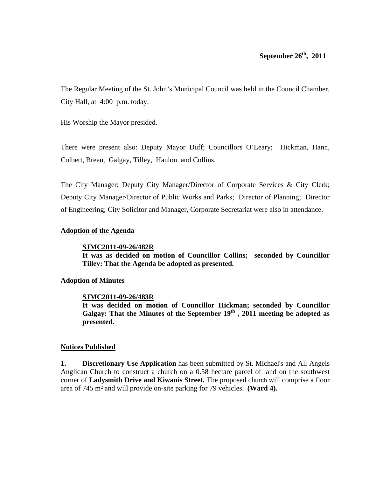The Regular Meeting of the St. John's Municipal Council was held in the Council Chamber, City Hall, at 4:00 p.m. today.

His Worship the Mayor presided.

There were present also: Deputy Mayor Duff; Councillors O'Leary; Hickman, Hann, Colbert, Breen, Galgay, Tilley, Hanlon and Collins.

The City Manager; Deputy City Manager/Director of Corporate Services & City Clerk; Deputy City Manager/Director of Public Works and Parks; Director of Planning; Director of Engineering; City Solicitor and Manager, Corporate Secretariat were also in attendance.

### **Adoption of the Agenda**

#### **SJMC2011-09-26/482R**

**It was as decided on motion of Councillor Collins; seconded by Councillor Tilley: That the Agenda be adopted as presented.** 

### **Adoption of Minutes**

### **SJMC2011-09-26/483R**

**It was decided on motion of Councillor Hickman; seconded by Councillor**  Galgay: That the Minutes of the September 19<sup>th</sup>, 2011 meeting be adopted as **presented.** 

### **Notices Published**

**1. Discretionary Use Application** has been submitted by St. Michael's and All Angels Anglican Church to construct a church on a 0.58 hectare parcel of land on the southwest corner of **Ladysmith Drive and Kiwanis Street.** The proposed church will comprise a floor area of 745 m² and will provide on-site parking for 79 vehicles. **(Ward 4).**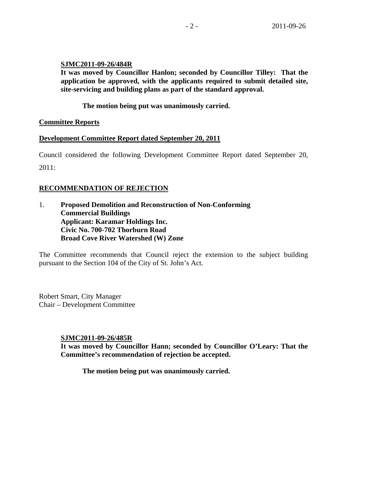### **SJMC2011-09-26/484R**

**It was moved by Councillor Hanlon; seconded by Councillor Tilley: That the application be approved, with the applicants required to submit detailed site, site-servicing and building plans as part of the standard approval.** 

**The motion being put was unanimously carried.** 

### **Committee Reports**

### **Development Committee Report dated September 20, 2011**

Council considered the following Development Committee Report dated September 20, 2011:

## **RECOMMENDATION OF REJECTION**

1. **Proposed Demolition and Reconstruction of Non-Conforming Commercial Buildings Applicant: Karamar Holdings Inc. Civic No. 700-702 Thorburn Road Broad Cove River Watershed (W) Zone** 

The Committee recommends that Council reject the extension to the subject building pursuant to the Section 104 of the City of St. John's Act.

Robert Smart, City Manager Chair – Development Committee

### **SJMC2011-09-26/485R**

**It was moved by Councillor Hann; seconded by Councillor O'Leary: That the Committee's recommendation of rejection be accepted.** 

 **The motion being put was unanimously carried.**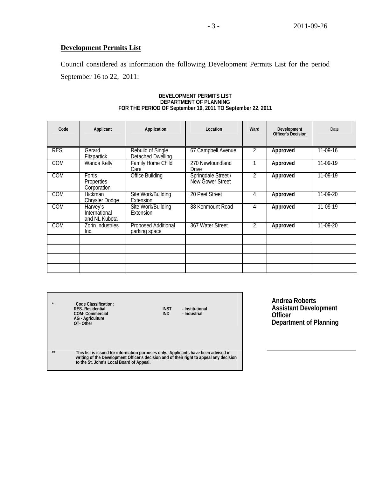## **Development Permits List**

Council considered as information the following Development Permits List for the period September 16 to 22, 2011:

| Code       | Applicant                                  | Application                                 | Location                                | Ward           | Development<br>Officer's Decision | Date     |
|------------|--------------------------------------------|---------------------------------------------|-----------------------------------------|----------------|-----------------------------------|----------|
| <b>RES</b> | Gerard<br><b>Fitzpartick</b>               | Rebuild of Single<br>Detached Dwelling      | 67 Campbell Avenue                      | 2              | Approved                          | 11-09-16 |
| <b>COM</b> | Wanda Kelly                                | <b>Family Home Child</b><br>Care            | 270 Newfoundland<br><b>Drive</b>        |                | Approved                          | 11-09-19 |
| <b>COM</b> | <b>Fortis</b><br>Properties<br>Corporation | <b>Office Building</b>                      | Springdale Street /<br>New Gower Street | 2              | Approved                          | 11-09-19 |
| <b>COM</b> | <b>Hickman</b><br>Chrysler Dodge           | Site Work/Building<br><b>Extension</b>      | 20 Peet Street                          | 4              | Approved                          | 11-09-20 |
| <b>COM</b> | Harvey's<br>International<br>and NL Kubota | Site Work/Building<br><b>Extension</b>      | 88 Kenmount Road                        | 4              | Approved                          | 11-09-19 |
| <b>COM</b> | Zorin Industries<br>Inc.                   | <b>Proposed Additional</b><br>parking space | 367 Water Street                        | $\overline{2}$ | Approved                          | 11-09-20 |
|            |                                            |                                             |                                         |                |                                   |          |
|            |                                            |                                             |                                         |                |                                   |          |
|            |                                            |                                             |                                         |                |                                   |          |
|            |                                            |                                             |                                         |                |                                   |          |

### **DEVELOPMENT PERMITS LIST DEPARTMENT OF PLANNING FOR THE PERIOD OF September 16, 2011 TO September 22, 2011**

|          | Code Classification:<br><b>RES-Residential</b><br>COM-Commercial<br><b>AG</b> - Agriculture<br>OT-Other                                                                                                                   | <b>INST</b><br><b>IND</b> | - Institutional<br>- Industrial |
|----------|---------------------------------------------------------------------------------------------------------------------------------------------------------------------------------------------------------------------------|---------------------------|---------------------------------|
| $\pm\pm$ | This list is issued for information purposes only. Applicants have been advised in<br>writing of the Development Officer's decision and of their right to appeal any decision<br>to the St. John's Local Board of Appeal. |                           |                                 |

**Andrea Roberts Assistant Development Officer Department of Planning**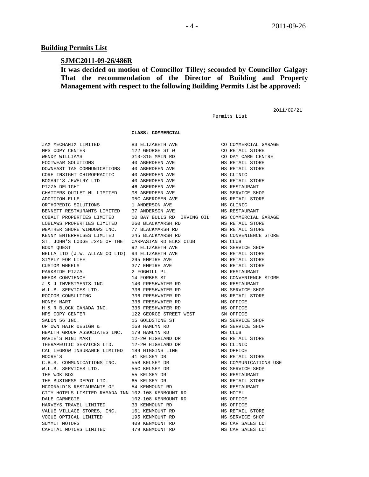#### **Building Permits List**

#### **SJMC2011-09-26/486R**

### **It was decided on motion of Councillor Tilley; seconded by Councillor Galgay: That the recommendation of the Director of Building and Property Management with respect to the following Building Permits List be approved:**

Permits List

2011/09/21

 **CLASS: COMMERCIAL** 

 JAX MECHANIX LIMITED 83 ELIZABETH AVE CO COMMERCIAL GARAGE MPS COPY CENTER 122 GEORGE ST W CO RETAIL STORE WENDY WILLIAMS 313-315 MAIN RD CO DAY CARE CENTRE FOOTWEAR SOLUTIONS 40 ABERDEEN AVE MS RETAIL STORE DOWNEAST TAS COMMUNICATIONS 40 ABERDEEN AVE MS RETAIL STORE CORE INSIGHT CHIROPRACTIC 40 ABERDEEN AVE MS CLINIC BOGART'S JEWELRY LTD 40 ABERDEEN AVE MS RETAIL STORE PIZZA DELIGHT 46 ABERDEEN AVE MS RESTAURANT CHATTERS OUTLET NL LIMITED 98 ABERDEEN AVE MS SERVICE SHOP ADDITION-ELLE 95C ABERDEEN AVE MS RETAIL STORE ORTHOPEDIC SOLUTIONS 1 ANDERSON AVE MS CLINIC BENNETT RESTAURANTS LIMITED 37 ANDERSON AVE MS RESTAURANT COBALT PROPERTIES LIMITED 10 BAY BULLS RD IRVING OIL MS COMMERCIAL GARAGE LOBLAWS PROPERTIES LIMITED 260 BLACKMARSH RD MS RETAIL STORE<br>WEATHER SHORE WINDOWS INC. 77 BLACKMARSH RD MS RETAIL STORE WEATHER SHORE WINDOWS INC. 77 BLACKMARSH RD MS RETAIL STORE KENNY ENTERPRISES LIMITED 245 BLACKMARSH RD MS CONVENIENCE STORE ST. JOHN'S LODGE #245 OF THE CARPASIAN RD ELKS CLUB MS CLUB BODY QUEST 92 ELIZABETH AVE MS SERVICE SHOP NELLA LTD (J.W. ALLAN CO LTD) 94 ELIZABETH AVE MS RETAIL STORE SIMPLY FOR LIFE  $295$  EMPIRE AVE MS RETAIL STORE CUSTOM WHEELS **377 EMPIRE AVE MS RETAIL STORE**  PARKSIDE PIZZA 2 FOGWILL PL MS RESTAURANT NEEDS CONVIENCE 14 FORBES ST MS CONVENIENCE STORE J & J INVESTMENTS INC. 140 FRESHWATER RD MS RESTAURANT W.L.B. SERVICES LTD. 336 FRESHWATER RD MS SERVICE SHOP ROCCOM CONSULTING **336 FRESHWATER RD** MS RETAIL STORE MONEY MART 336 FRESHWATER RD MS OFFICE H & R BLOCK CANADA INC. 336 FRESHWATER RD MS OFFICE MPS COPY CENTER  $122$  GEORGE STREET WEST SN OFFICE SALON 56 INC. 15 GOLDSTONE ST MS SERVICE SHOP UPTOWN HAIR DESIGN & 169 HAMLYN RD MS SERVICE SHOP HEALTH GROUP ASSOCIATES INC. 179 HAMLYN RD MS CLUB MARIE'S MINI MART  $12-20$  HIGHLAND DR MS RETAIL STORE THERAPEUTIC SERVICES LTD. 12-20 HIGHLAND DR MS CLINIC CAL LEGROW INSURANCE LIMITED 189 HIGGINS LINE MS OFFICE MOORE'S 41 KELSEY DR MS RETAIL STORE C.B.S. COMMUNICATIONS INC. 55B KELSEY DR MS COMMUNICATIONS USE W.L.B. SERVICES LTD. 55C KELSEY DR MS SERVICE SHOP THE WOK BOX 655 KELSEY DR MS RESTAURANT THE BUSINESS DEPOT LTD. 65 KELSEY DR MS RETAIL STORE MCDONALD'S RESTAURANTS OF 54 KENMOUNT RD MS RESTAURANT CITY HOTELS LIMITED RAMADA INN 102-108 KENMOUNT RD MS HOTEL DALE CARNEGIE 102-108 KENMOUNT RD MS OFFICE HARVEYS TRAVEL LIMITED 33 KENMOUNT RD MS OFFICE VALUE VILLAGE STORES, INC. 161 KENMOUNT RD MS RETAIL STORE VOGUE OPTICAL LIMITED 195 KENMOUNT RD MS SERVICE SHOP SUMMIT MOTORS 600 409 KENMOUNT RD 600 MS CAR SALES LOT CAPITAL MOTORS LIMITED 479 KENMOUNT RD MS CAR SALES LOT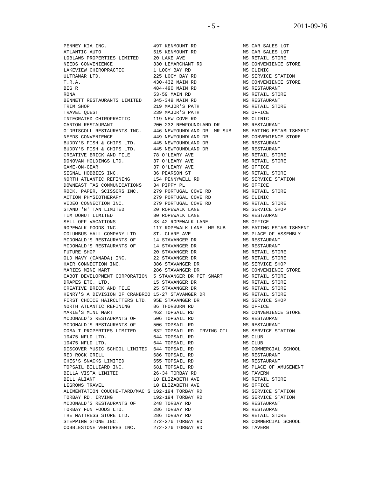ATLANTIC AUTO 515 KENMOUNT RD MS CAR SALES LOT LOBLAWS PROPERTIES LIMITED 20 LAKE AVE NEEDS CONVENIENCE 330 LEMARCHANT RD NEEDS CONVENIENCE 330 LEMARCHANT RD MS CONVENIENCE STORE LAKEVIEW CHIROPRACTIC 1 LOGY BAY RD ULTRAMAR LTD. 225 LOGY BAY RD MS SERVICE STATION T.R.A. 430-432 MAIN RD MS CONVENIENCE STORE BIG R 484-490 MAIN RD MS RESTAURANT RONA 53-59 MAIN RD MS RETAIL STORE BENNETT RESTAURANTS LIMITED 345-349 MAIN RD MS RESTAURANT TRIM SHOP **219 MAJOR'S PATH** MS RETAIL STORE TRAVEL QUEST 239 MAJOR'S PATH MS OFFICE INTEGRATED CHIROPRACTIC 119 NEW COVE RD CANTON RESTAURANT 200-232 NEWFOUNDLAND DR MS RESTAURANT O'DRISCOLL RESTAURANTS INC. 446 NEWFOUNDLAND DR MR SUB MS EATING ESTABLISHMENT NEEDS CONVENIENCE 449 NEWFOUNDLAND DR MS CONVENIENCE STORE BUDDY'S FISH & CHIPS LTD. 445 NEWFOUNDLAND DR MS RESTAURANT BUDDY'S FISH & CHIPS LTD. 445 NEWFOUNDLAND DR MS RESTAURANT BUDDY'S FISH & CHIPS LTD. 445 NEWFOUNDLAND DR MS RESTAURANT<br>CREATIVE BRICK AND TILE 78 O'LEARY AVE MS RETAIL STORE CREATIVE BRICK AND TILE 78 O'LEARY AVE DONOVAN HOLDINGS LTD. 37 O'LEARY AVE MS RETAIL STORE GAME-ON-GEAR 37 O'LEARY AVE MS OFFICE SIGNAL HOBBIES INC. 36 PEARSON ST MS RETAIL STORE NORTH ATLANTIC REFINING 154 PENNYWELL RD MS SERVICE STATION DOWNEAST TAS COMMUNICATIONS 34 PIPPY PL MS OFFICE MS OFFICE ROCK, PAPER, SCISSORS INC. 279 PORTUGAL COVE RD MS RETAIL STORE ROCK, PAPER, SCISSORS INC. 279 PORTUGAL COVE RD MS RETAIL STORE ACTION PHYSIOTHERAPY VIDEO CONNECTION INC. 279 PORTUGAL COVE RD MS RETAIL STORE STAND 'N' TAN LIMITED 20 ROPEWALK LANE MS SERVICE SHOP TIM DONUT LIMITED 30 ROPEWALK LANE MS RESTAURANT SELL OFF VACATIONS 38-42 ROPEWALK LANE MS OFFICE ROPEWALK FOODS INC. 117 ROPEWALK LANE MR SUB MS EATING ESTABLISHMENT<br>COLUMBUS HALL COMPANY LTD ST. CLARE AVE MS PLACE OF ASSEMBLY COLUMBUS HALL COMPANY LTD ST. CLARE AVE MS PLACE OF ASSEMBLY MCDONALD'S RESTAURANTS OF 14 STAVANGER DR MS RESTAURANT MCDONALD'S RESTAURANTS OF 14 STAVANGER DR MS RESTAURANT FUTURE SHOP 20 STAVANGER DR MS RETAIL STORE OLD NAVY (CANADA) INC. 22 STAVANGER DR MS RETAIL STORE HAIR CONNECTION INC. 386 STAVANGER DR MS SERVICE SHOP MARIES MINI MART 286 STAVANGER DR MS CONVENIENCE STORE CABOT DEVELOPMENT CORPORATION 5 STAVANGER DR PET SMART MS RETAIL STORE DRAPES ETC. LTD. 15 STAVANGER DR MS RETAIL STORE CREATIVE BRICK AND TILE 25 STAVANGER DR MS RETAIL STORE HENRY'S A DIVISION OF CRANBROO 15-27 STAVANGER DR MS RETAIL STORE FIRST CHOICE HAIRCUTTERS LTD. 95E STAVANGER DR MS SERVICE SHOP NORTH ATLANTIC REFINING 86 THORBURN RD MS OFFICE MARIE'S MINI MART 462 TOPSAIL RD MS CONVENIENCE STORE MCDONALD'S RESTAURANTS OF 506 TOPSAIL RD 600 MS RESTAURANT<br>MCDONALD'S RESTAURANTS OF 506 TOPSAIL RD 600 MS RESTAURANT MCDONALD'S RESTAURANTS OF 506 TOPSAIL RD 632 TORSAIL ROUGHALD MS RESTAURANT COBALT PROPERTIES LIMITED 632 TOPSAIL RD IRVING OIL MS SERVICE STATION 10475 NFLD LTD. 644 TOPSAIL RD MS CLUB 10475 NFLD LTD. 644 TOPSAIL RD MS CLUB DISCOVER MUSIC SCHOOL LIMITED 644 TOPSAIL RD MS COMMERCIAL SCHOOL RED ROCK GRILL **686 TOPSAIL RD** MS RESTAURANT CHES'S SNACKS LIMITED 655 TOPSAIL RD MS RESTAURANT TOPSAIL BILLIARD INC. 681 TOPSAIL RD MS PLACE OF AMUSEMENT BELLA VISTA LIMITED 26-34 TORBAY RD BELL ALIANT 10 ELIZABETH AVE MS RETAIL STORE LEGROWS TRAVEL 10 ELIZABETH AVE MS OFFICE ALIMENTATION COUCHE-TARD/MAC'S 192-194 TORBAY RD<br>TORBAY RD. IRVING 192-194 TORBAY RD TORBAY RD. IRVING 192-194 TORBAY RD MS SERVICE STATION MCDONALD'S RESTAURANTS OF 248 TORBAY RD MS RESTAURANT TORBAY FUN FOODS LTD. 286 TORBAY RD MS RESTAURANT THE MATTRESS STORE LTD. 286 TORBAY RD MS RETAIL STORE

 PENNEY KIA INC. 497 KENMOUNT RD MS CAR SALES LOT 632 TOPSAIL RD IRVING OIL STEPPING STONE INC. 272-276 TORBAY RD MS COMMERCIAL SCHOOL COBBLESTONE VENTURES INC. 272-276 TORBAY RD MS TAVERN COBBLESTONE VENTURES INC. 272-276 TORBAY RD MS TAVERN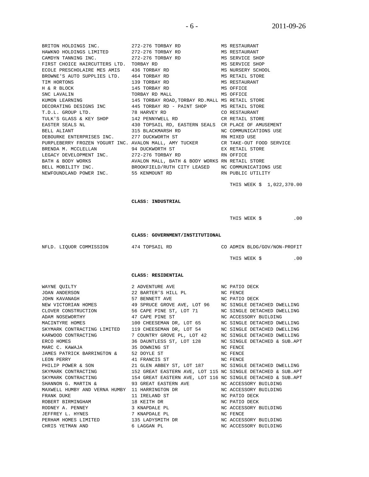BRITON HOLDINGS INC. 272-276 TORBAY RD MS RESTAURANT HAWKNO HOLDINGS LIMITED 272-276 TORBAY RD MS RESTAURANT CAMDYN TANNING INC. 272-276 TORBAY RD MS SERVICE SHOP FIRST CHOICE HAIRCUTTERS LTD. TORBAY RD MS SERVICE SHOP ECOLE PRESCHOLAIRE MES AMIS 436 TORBAY RD MS NURSERY SCHOOL ECOLE PRESCHOLAIRE MES AMIS BROWNE'S AUTO SUPPLIES LTD. 464 TORBAY RD MS RETAIL STORE TIM HORTONS 139 TORBAY RD MS RESTAURANT  $H \& R \text{ BLOCK}$  145 TORBAY RD SNC LAVALIN SOFTICE TORBAY RD MALL SOFTICE KUMON LEARNING 145 TORBAY ROAD,TORBAY RD.MALL MS RETAIL STORE DECORATING DESIGNS INC 445 TORBAY RD - PAINT SHOP MS RETAIL STORE T.D.L. GROUP LTD. 78 HARVEY RD CO RESTAURANT TULK'S GLASS & KEY SHOP 142 PENNYWELL RD CR RETAIL STORE EASTER SEALS NL 430 TOPSAIL RD, EASTERN SEALS CR PLACE OF AMUSEMENT BELL ALIANT 315 BLACKMARSH RD NC COMMUNICATIONS USE DEBOURKE ENTERPRISES INC. 277 DUCKWORTH ST RN MIXED USE PURPLEBERRY FROZEN YOGURT INC. AVALON MALL, AMY TUCKER CR TAKE-OUT FOOD SERVICE BRENDA M. MCCLELLAN 94 DUCKWORTH ST BEX RETAIL STORE LEGACY DEVELOPMENT INC. 272-276 TORBAY RD RN OFFICE BATH & BODY WORKS AVALON MALL, BATH & BODY WORKS RN RETAIL STORE BELL MOBILITY INC. **BROOKFIELD/RUTH CITY LEASED** NC COMMUNICATIONS USE NEWFOUNDLAND POWER INC. 55 KENMOUNT RD RN PUBLIC UTILITY

THIS WEEK \$ 1,022,370.00

#### **CLASS: INDUSTRIAL**

THIS WEEK  $\zeta$  .00

 **CLASS: GOVERNMENT/INSTITUTIONAL** 

| NFLD. LIOUOR COMMISSION | 474 TOPSAIL RD | CO ADMIN BLDG/GOV/NON-PROFIT |  |
|-------------------------|----------------|------------------------------|--|
|                         |                | THIS WEEK \$                 |  |

 **CLASS: RESIDENTIAL** 

| WAYNE QUILTY                           | 2 ADVENTURE AVE NO PATIO DECK                                                              |                       |
|----------------------------------------|--------------------------------------------------------------------------------------------|-----------------------|
| JOAN ANDERSON                          | 22 BARTER'S HILL PL NC FENCE                                                               |                       |
| JOHN KAVANAGH                          | 57 BENNETT AVE NO PATIO DECK                                                               |                       |
| NEW VICTORIAN HOMES                    | 49 SPRUCE GROVE AVE, LOT 96 NC SINGLE DETACHED DWELLING                                    |                       |
| CLOVER CONSTRUCTION                    | 56 CAPE PINE ST, LOT 71 NC SINGLE DETACHED DWELLING                                        |                       |
| ADAM NOSEWORTHY                        | 47 CAPE PINE ST NC ACCESSORY BUILDING                                                      |                       |
| MACINTYRE HOMES                        | 100 CHEESEMAN DR, LOT 65 NC SINGLE DETACHED DWELLING                                       |                       |
|                                        | SKYMARK CONTRACTING LIMITED 119 CHEESEMAN DR, LOT 54 NC SINGLE DETACHED DWELLING           |                       |
| KARWOOD CONTRACTING                    | 7 COUNTRY GROVE PL, LOT 42 MC SINGLE DETACHED DWELLING                                     |                       |
| ERCO HOMES                             | 36 DAUNTLESS ST, LOT 128 MC SINGLE DETACHED & SUB.APT                                      |                       |
| MARC C. KAWAJA                         | 35 DOWNING ST                                                                              | NC FENCE              |
| JAMES PATRICK BARRINGTON & 52 DOYLE ST |                                                                                            | NC FENCE              |
| LEON PERRY                             | 41 FRANCIS ST NC FENCE                                                                     |                       |
| PHILIP POWER & SON                     | 21 GLEN ABBEY ST, LOT 187 NC SINGLE DETACHED DWELLING                                      |                       |
| SKYMARK CONTRACTING                    | 152 GREAT EASTERN AVE, LOT 115 NC SINGLE DETACHED & SUB.APT                                |                       |
|                                        | SKYMARK CONTRACTING 154 GREAT EASTERN AVE, LOT 116 NC SINGLE DETACHED & SUB.APT            |                       |
|                                        | SHANNON G. MARTIN & 93 GREAT EASTERN AVE NC ACCESSORY BUILDING                             |                       |
|                                        | MAXWELL HUMBY AND VERNA HUMBY 11 HARRINGTON DR                       NC ACCESSORY BUILDING |                       |
| FRANK DUKE                             | 11 IRELAND ST                                                                              | NC PATIO DECK         |
| ROBERT BIRMINGHAM                      | 18 KEITH DR                                                                                | NC PATIO DECK         |
| RODNEY A. PENNEY                       | 3 KNAPDALE PL                                                                              | NC ACCESSORY BUILDING |
| JEFFREY L. HYNES                       | 7 KNAPDALE PL                                                                              | NC FENCE              |
| PERHAM HOMES LIMITED                   | 135 LADYSMITH DR<br>6 LAGGAN PL                                                            | NC ACCESSORY BUILDING |
| CHRIS YETMAN AND                       |                                                                                            | NC ACCESSORY BUILDING |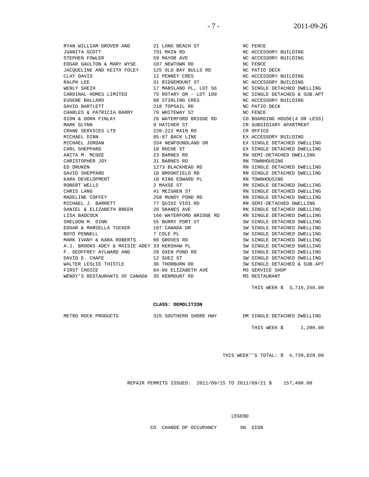RYAN WILLIAM DROVER AND 21 LONG BEACH ST NC FENCE JUANITA SCOTT 791 MAIN RD NC ACCESSORY BUILDING  ${\tt STEPHEN\ FOWLER} \begin{minipage}{1.5cm} \begin{minipage}{0.5cm} \begin{minipage}{0.5cm} \begin{minipage}{0.5cm} \begin{minipage}{0.5cm} \begin{minipage}{0.5cm} \begin{minipage}{0.5cm} \begin{minipage}{0.5cm} \begin{minipage}{0.5cm} \begin{minipage}{0.5cm} \begin{minipage}{0.5cm} \begin{minipage}{0.5cm} \begin{minipage}{0.5cm} \begin{minipage}{0.5cm} \begin{minipage}{0.5cm} \begin{minipage}{0.5cm} \begin{minipage}{0.5cm} \begin{minip$ EDGAR GAULTON & MARY WYSE 107 NEWTOWN RD NC FENCE JACQUELINE AND KEITH FOLEY 125 OLD BAY BULLS RD NC PATIO DECK JACQUELINE AND KEITH FOLEY CLAY DAVIS 12 PENNEY CRES NC ACCESSORY BUILDING RALPH LEE 31 RIDGEMOUNT ST NC ACCESSORY BUILDING WENLY SHEIH 17 MARSLAND PL, LOT 56 NC SINGLE DETACHED DWELLING CARDINAL HOMES LIMITED 75 ROTARY DR - LOT 109 NC SINGLE DETACHED & SUB.APT EUGENE BALLARD 88 STIRLING CRES NC ACCESSORY BUILDING DAVID BARTLETT **218 TOPSAIL RD** NC PATIO DECK CHARLES & PATRICIA BARRY 79 WHITEWAY ST NC FENCE MARK GLYNN 19 HATCHER ST 6 CR SUBSIDIARY APARTMENT CRANE SERVICES LTD 220-222 MAIN RD CR OFFICE MICHAEL DINN 85-87 BACK LINE FX ACCESS MICHAEL DINN 85-87 BACK LINE EX ACCESSORY BUILDING MICHAEL JORDAN 334 NEWFOUNDLAND DR EX SINGLE DETACHED DWELLING CARL SHEPPARD 10 ROCHE ST EX SINGLE DETACHED DWELLING ANITA M. MCGEE  $\sim$  23 BARNES RD RN SEMI-DETACHED DWELLING CARL SHEPPARD 10 ROCHE ST<br>
ANITA M. MCGEE 23 BARNES RD<br>
CHRISTOPHER JOY 31 BARNES RD<br>
PR RNIVEN ED DRUKEN 1273 BLACKHEAD RD RN SINGLE DETACHED DWELLING DAVID SHEPPARD 10 BROOKFIELD RD RN SINGLE DETACHED DWELLING KARA DEVELOPMENT 10 KING EDWARD PL RN TOWNHOUSING ROBERT WELLS 2 MAXSE ST RN SINGLE DETACHED DWELLING CHRIS LANG 41 MEIGHEN ST RN SINGLE DETACHED DWELLING MADELINE COFFEY 258 MUNDY POND RD RN SINGLE DETACHED DWELLING MICHAEL J. BARRETT **77 QUIDI VIDI RD** RN SEMI-DETACHED DWELLING DANIEL & ELIZABETH BREEN 26 SKANES AVE **RIGLE DETACHED DWELLING** DANIEL & ELIZABETH BREEN 26 SKANES AVE AN SUNT DETACHED DWELLING<br>LISA BADCOCK 166 WATERFORD BRIDGE RD RN SINGLE DETACHED DWELLING<br>SHELDON M. DINN 55 BURRY PORT ST SW SINGLE DETACHED DWELLING SHELDON M. DINN 55 BURRY PORT ST EDGAR & MARSELLA TUCKER 187 CANADA DR SW SINGLE DETACHED DWELLING BOYD PENNELL **A SUIT A SUIT A SUIT A STACH SWASS OF SUIT A** SINGLE DETACHED DWELLING MARK IVANY & KARA ROBERTS 88 GROVES RD SW SINGLE DETACHED DWELLING A.J. BROOKS ADEY & MAISIE ADEY 33 KERSHAW PL SW SINGLE DETACHED DWELLING F. GEOFFREY AYLWARD AND 28 OXEN POND RD SW SINGLE DETACHED DWELLING DAVID E. CHAFE 12 SUEZ ST SW SINGLE DETACHED DWELLING WALTER LESLIE THISTLE 36 THORBURN RD SW SINGLE DETACHED & SUB.APT FIRST CHOICE 84-86 ELIZABETH AVE MS SERVICE SHOP

WENDY'S RESTAURANTS OF CANADA 35 KENMOUNT RD MS RESTAURANT

NUMBER AND RESPECT ON THE PERSON ROUSE (4 OR LESS)

THIS WEEK \$ 3,716,250.00

#### **CLASS: DEMOLITION**

METRO ROCK PRODUCTS 325 SOUTHERN SHORE HWY DM SINGLE DETACHED DWELLING

THIS WEEK \$ 1,200.00

THIS WEEK''S TOTAL: \$ 4,739,820.00

REPAIR PERMITS ISSUED: 2011/09/15 TO 2011/09/21 \$ 157,400.00

LEGEND

CO CHANGE OF OCCUPANCY SN SIGN

- 7 - 2011-09-26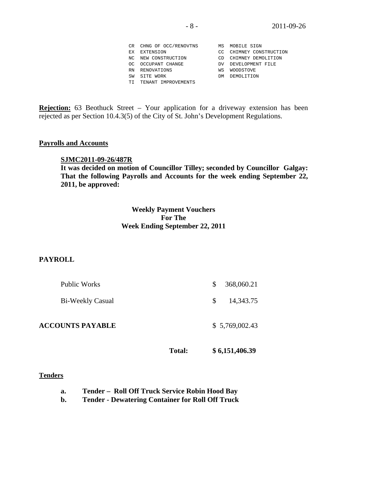|    | CR CHNG OF OCC/RENOVTNS | MS  | MOBILE SIGN          |
|----|-------------------------|-----|----------------------|
|    | EX EXTENSION            | CC. | CHIMNEY CONSTRUCTION |
|    | NC NEW CONSTRUCTION     | CD. | CHIMNEY DEMOLITION   |
|    | OC OCCUPANT CHANGE      |     | DV DEVELOPMENT FILE  |
|    | RN RENOVATIONS          | WS  | WOODSTOVE            |
| SW | SITE WORK               | DM  | DEMOLITION           |
|    | TI TENANT IMPROVEMENTS  |     |                      |

**Rejection:** 63 Beothuck Street – Your application for a driveway extension has been rejected as per Section 10.4.3(5) of the City of St. John's Development Regulations.

#### **Payrolls and Accounts**

#### **SJMC2011-09-26/487R**

**It was decided on motion of Councillor Tilley; seconded by Councillor Galgay: That the following Payrolls and Accounts for the week ending September 22, 2011, be approved:** 

### **Weekly Payment Vouchers For The Week Ending September 22, 2011**

### **PAYROLL**

| Public Works            | \$ | 368,060.21     |
|-------------------------|----|----------------|
| Bi-Weekly Casual        | S. | 14,343.75      |
| <b>ACCOUNTS PAYABLE</b> |    | \$5,769,002.43 |

**Total: \$ 6,151,406.39** 

#### **Tenders**

 **b. Tender - Dewatering Container for Roll Off Truck**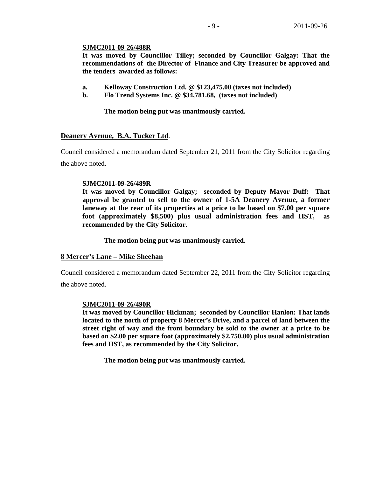#### **SJMC2011-09-26/488R**

**It was moved by Councillor Tilley; seconded by Councillor Galgay: That the recommendations of the Director of Finance and City Treasurer be approved and the tenders awarded as follows:** 

- **a. Kelloway Construction Ltd. @ \$123,475.00 (taxes not included)**
- **b. Flo Trend Systems Inc. @ \$34,781.68, (taxes not included)**

**The motion being put was unanimously carried.** 

### **Deanery Avenue, B.A. Tucker Ltd**.

Council considered a memorandum dated September 21, 2011 from the City Solicitor regarding the above noted.

#### **SJMC2011-09-26/489R**

**It was moved by Councillor Galgay; seconded by Deputy Mayor Duff: That approval be granted to sell to the owner of 1-5A Deanery Avenue, a former laneway at the rear of its properties at a price to be based on \$7.00 per square foot (approximately \$8,500) plus usual administration fees and HST, as recommended by the City Solicitor.** 

 **The motion being put was unanimously carried.** 

#### **8 Mercer's Lane – Mike Sheehan**

Council considered a memorandum dated September 22, 2011 from the City Solicitor regarding the above noted.

### **SJMC2011-09-26/490R**

**It was moved by Councillor Hickman; seconded by Councillor Hanlon: That lands located to the north of property 8 Mercer's Drive, and a parcel of land between the street right of way and the front boundary be sold to the owner at a price to be based on \$2.00 per square foot (approximately \$2,750.00) plus usual administration fees and HST, as recommended by the City Solicitor.** 

**The motion being put was unanimously carried.**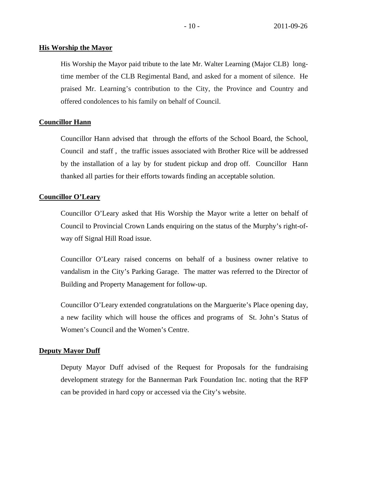#### **His Worship the Mayor**

His Worship the Mayor paid tribute to the late Mr. Walter Learning (Major CLB) longtime member of the CLB Regimental Band, and asked for a moment of silence. He praised Mr. Learning's contribution to the City, the Province and Country and offered condolences to his family on behalf of Council.

#### **Councillor Hann**

Councillor Hann advised that through the efforts of the School Board, the School, Council and staff , the traffic issues associated with Brother Rice will be addressed by the installation of a lay by for student pickup and drop off. Councillor Hann thanked all parties for their efforts towards finding an acceptable solution.

#### **Councillor O'Leary**

Councillor O'Leary asked that His Worship the Mayor write a letter on behalf of Council to Provincial Crown Lands enquiring on the status of the Murphy's right-ofway off Signal Hill Road issue.

Councillor O'Leary raised concerns on behalf of a business owner relative to vandalism in the City's Parking Garage. The matter was referred to the Director of Building and Property Management for follow-up.

Councillor O'Leary extended congratulations on the Marguerite's Place opening day, a new facility which will house the offices and programs of St. John's Status of Women's Council and the Women's Centre.

#### **Deputy Mayor Duff**

Deputy Mayor Duff advised of the Request for Proposals for the fundraising development strategy for the Bannerman Park Foundation Inc. noting that the RFP can be provided in hard copy or accessed via the City's website.